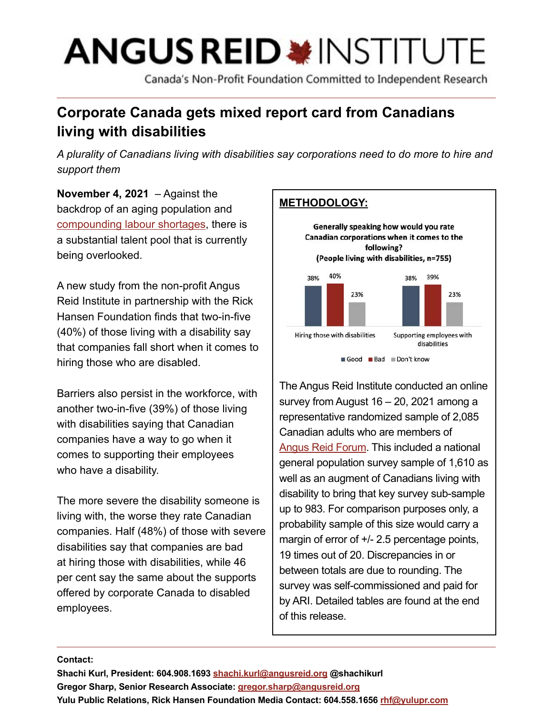# **ANGUS REID \*INSTITUTE**

Canada's Non-Profit Foundation Committed to Independent Research

# **Corporate Canada gets mixed report card from Canadians living with disabilities**

*A plurality of Canadians living with disabilities say corporations need to do more to hire and support them*

**November 4, 2021** – Against the backdrop of an aging population and [compounding labour shortages,](https://www.cbc.ca/news/business/canada-labour-shortage-businesses-study-bdc-1.6192644) there is a substantial talent pool that is currently being overlooked.

A new study from the non-profit Angus Reid Institute in partnership with the Rick Hansen Foundation finds that two-in-five (40%) of those living with a disability say that companies fall short when it comes to hiring those who are disabled.

Barriers also persist in the workforce, with another two-in-five (39%) of those living with disabilities saying that Canadian companies have a way to go when it comes to supporting their employees who have a disability.

The more severe the disability someone is living with, the worse they rate Canadian companies. Half (48%) of those with severe disabilities say that companies are bad at hiring those with disabilities, while 46 per cent say the same about the supports offered by corporate Canada to disabled employees.

# **METHODOLOGY:**





The Angus Reid Institute conducted an online survey from August 16 – 20, 2021 among a representative randomized sample of 2,085 Canadian adults who are members of [Angus Reid Forum.](https://www.angusreidforum.com/en-ca/Sign-In?returnurl=%2fen-ca%2f) This included a national general population survey sample of 1,610 as well as an augment of Canadians living with disability to bring that key survey sub-sample up to 983. For comparison purposes only, a probability sample of this size would carry a margin of error of  $+/- 2.5$  percentage points, 19 times out of 20. Discrepancies in or between totals are due to rounding. The survey was self-commissioned and paid for by ARI. Detailed tables are found at the end of this release.

#### **Contact:**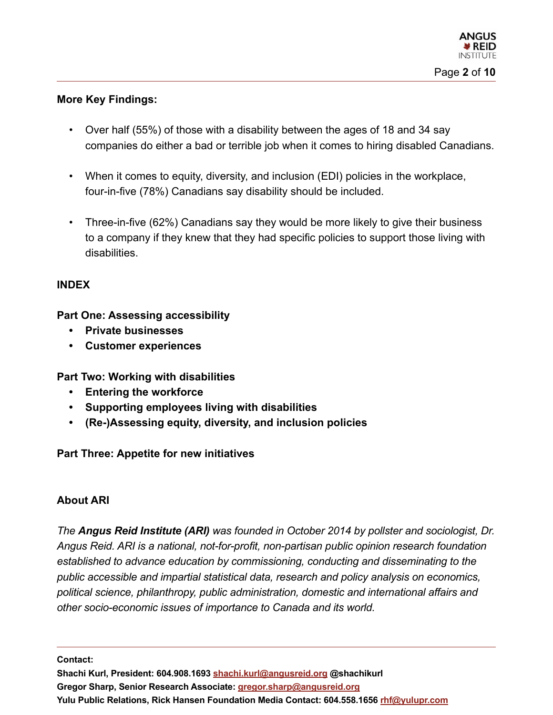# **More Key Findings:**

- Over half (55%) of those with a disability between the ages of 18 and 34 say companies do either a bad or terrible job when it comes to hiring disabled Canadians.
- When it comes to equity, diversity, and inclusion (EDI) policies in the workplace, four-in-five (78%) Canadians say disability should be included.
- Three-in-five (62%) Canadians say they would be more likely to give their business to a company if they knew that they had specific policies to support those living with disabilities.

# **INDEX**

**Part One: Assessing accessibility**

- **• Private businesses**
- **• Customer experiences**

**Part Two: Working with disabilities**

- **• Entering the workforce**
- **• Supporting employees living with disabilities**
- **• (Re-)Assessing equity, diversity, and inclusion policies**

# **Part Three: Appetite for new initiatives**

## **About ARI**

*The Angus Reid Institute (ARI) was founded in October 2014 by pollster and sociologist, Dr. Angus Reid. ARI is a national, not-for-profit, non-partisan public opinion research foundation established to advance education by commissioning, conducting and disseminating to the public accessible and impartial statistical data, research and policy analysis on economics, political science, philanthropy, public administration, domestic and international affairs and other socio-economic issues of importance to Canada and its world.*

**Contact:**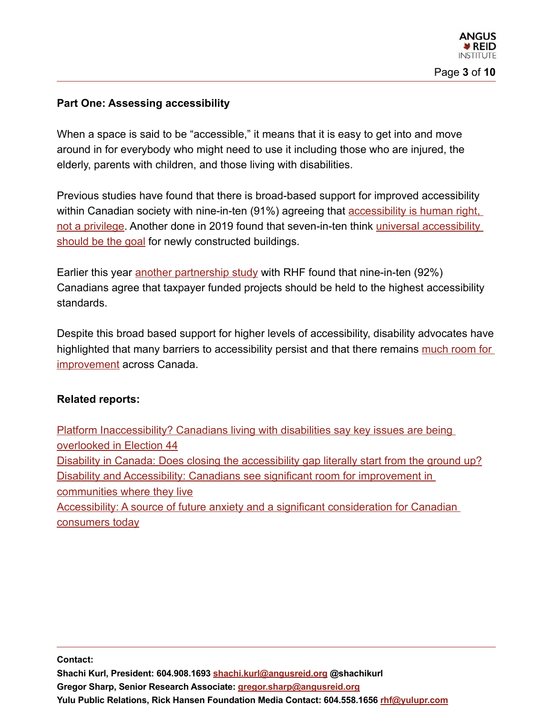# **Part One: Assessing accessibility**

When a space is said to be "accessible," it means that it is easy to get into and move around in for everybody who might need to use it including those who are injured, the elderly, parents with children, and those living with disabilities.

Previous studies have found that there is broad-based support for improved accessibility within Canadian society with nine-in-ten (91%) agreeing that accessibility is human right, [not a privilege](https://angusreid.org/rhf-accessibility/). Another done in 2019 found that seven-in-ten think [universal accessibility](https://angusreid.org/accessibility-future-anxiety-rhf/)  [should be the goal](https://angusreid.org/accessibility-future-anxiety-rhf/) for newly constructed buildings.

Earlier this year [another partnership study](https://angusreid.org/election-issues-disability/) with RHF found that nine-in-ten (92%) Canadians agree that taxpayer funded projects should be held to the highest accessibility standards.

Despite this broad based support for higher levels of accessibility, disability advocates have highlighted that many barriers to accessibility persist and that there remains much room for [improvement](https://www.csagroup.org/article/research/a-canadian-roadmap-for-accessibility-standards/) across Canada.

## **Related reports:**

[Platform Inaccessibility? Canadians living with disabilities say key issues are being](https://angusreid.org/election-issues-disability/)  [overlooked in Election 44](https://angusreid.org/election-issues-disability/) [Disability in Canada: Does closing the accessibility gap literally start from the ground up?](https://angusreid.org/disability-in-canada/) Disability and Accessibility: Canadians see significant room for improvement in [communities where they live](https://angusreid.org/rhf-accessibility/) [Accessibility: A source of future anxiety and a significant consideration for Canadian](https://angusreid.org/accessibility-future-anxiety-rhf/)  [consumers today](https://angusreid.org/accessibility-future-anxiety-rhf/)

**Contact:**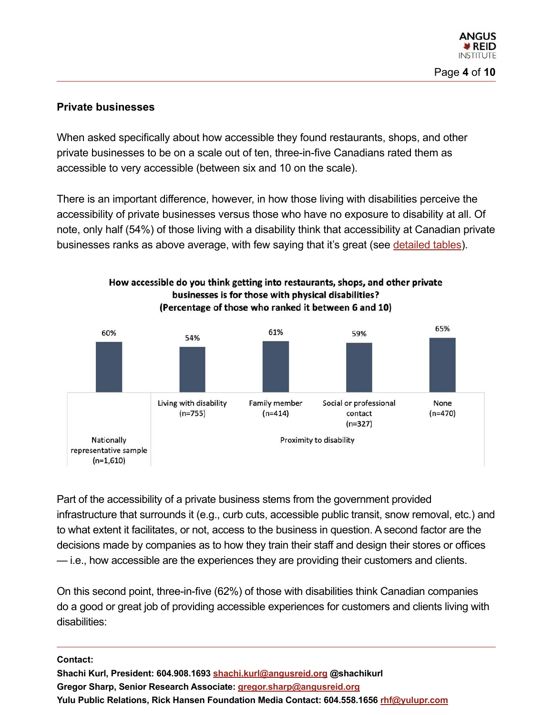# **Private businesses**

When asked specifically about how accessible they found restaurants, shops, and other private businesses to be on a scale out of ten, three-in-five Canadians rated them as accessible to very accessible (between six and 10 on the scale).

There is an important difference, however, in how those living with disabilities perceive the accessibility of private businesses versus those who have no exposure to disability at all. Of note, only half (54%) of those living with a disability think that accessibility at Canadian private businesses ranks as above average, with few saying that it's great (see [detailed tables](https://angusreid.org/wp-content/uploads/2021/10/2021.08.23-RHF-ReleaseTables.pdf)).



Part of the accessibility of a private business stems from the government provided infrastructure that surrounds it (e.g., curb cuts, accessible public transit, snow removal, etc.) and to what extent it facilitates, or not, access to the business in question. A second factor are the decisions made by companies as to how they train their staff and design their stores or offices — i.e., how accessible are the experiences they are providing their customers and clients.

On this second point, three-in-five (62%) of those with disabilities think Canadian companies do a good or great job of providing accessible experiences for customers and clients living with disabilities:

#### **Contact:**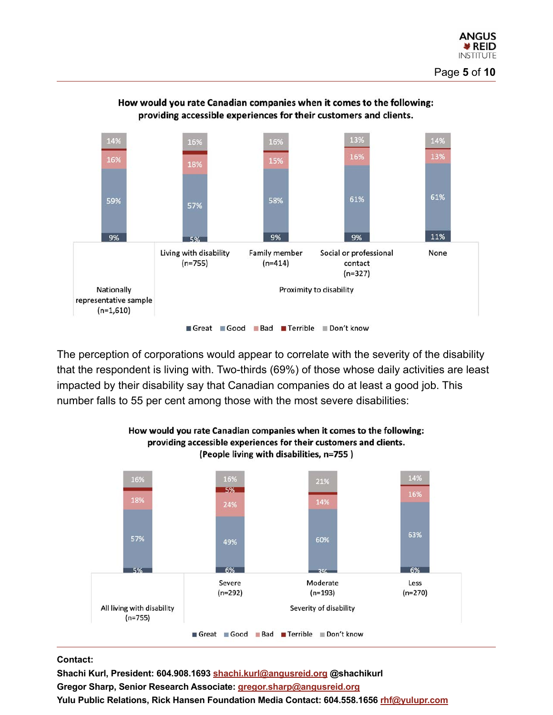

#### How would you rate Canadian companies when it comes to the following: providing accessible experiences for their customers and clients.

The perception of corporations would appear to correlate with the severity of the disability that the respondent is living with. Two-thirds (69%) of those whose daily activities are least impacted by their disability say that Canadian companies do at least a good job. This number falls to 55 per cent among those with the most severe disabilities:



#### How would you rate Canadian companies when it comes to the following: providing accessible experiences for their customers and clients. (People living with disabilities, n=755)

#### **Contact:**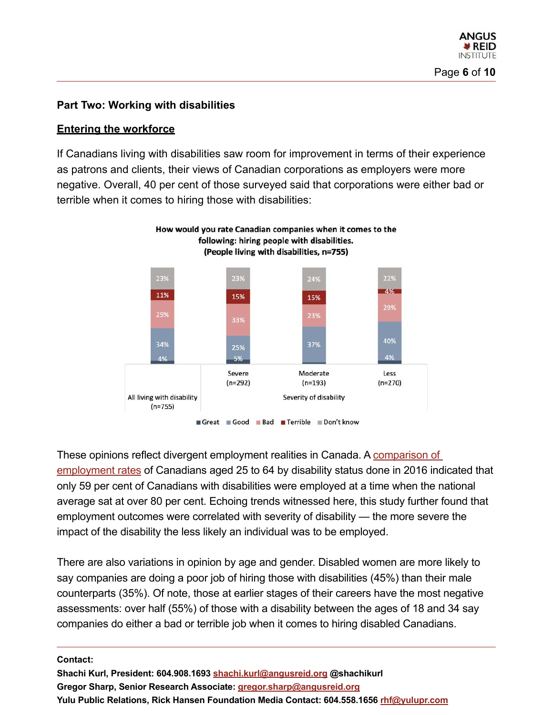# **Part Two: Working with disabilities**

# **Entering the workforce**

If Canadians living with disabilities saw room for improvement in terms of their experience as patrons and clients, their views of Canadian corporations as employers were more negative. Overall, 40 per cent of those surveyed said that corporations were either bad or terrible when it comes to hiring those with disabilities:



These opinions reflect divergent employment realities in Canada. A comparison of [employment rates](https://www150.statcan.gc.ca/n1/pub/89-654-x/89-654-x2018002-eng.htm) of Canadians aged 25 to 64 by disability status done in 2016 indicated that only 59 per cent of Canadians with disabilities were employed at a time when the national average sat at over 80 per cent. Echoing trends witnessed here, this study further found that employment outcomes were correlated with severity of disability — the more severe the impact of the disability the less likely an individual was to be employed.

There are also variations in opinion by age and gender. Disabled women are more likely to say companies are doing a poor job of hiring those with disabilities (45%) than their male counterparts (35%). Of note, those at earlier stages of their careers have the most negative assessments: over half (55%) of those with a disability between the ages of 18 and 34 say companies do either a bad or terrible job when it comes to hiring disabled Canadians.

#### **Contact:**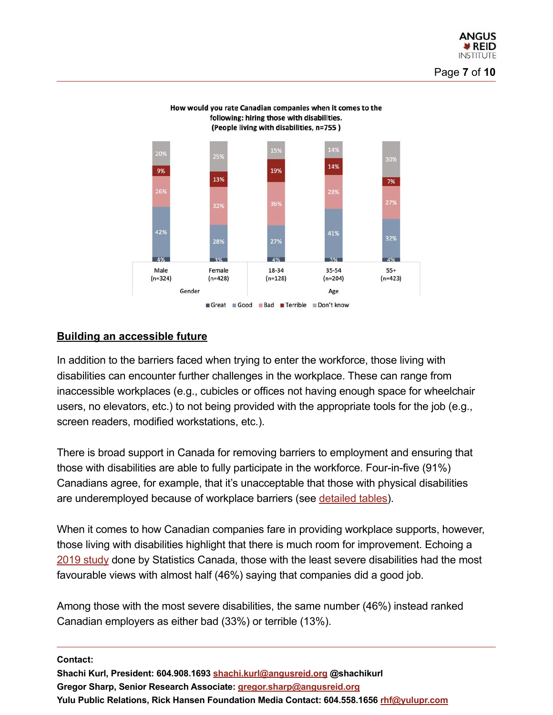

# How would you rate Canadian companies when it comes to the following: hiring those with disabilities.

# **Building an accessible future**

In addition to the barriers faced when trying to enter the workforce, those living with disabilities can encounter further challenges in the workplace. These can range from inaccessible workplaces (e.g., cubicles or offices not having enough space for wheelchair users, no elevators, etc.) to not being provided with the appropriate tools for the job (e.g., screen readers, modified workstations, etc.).

There is broad support in Canada for removing barriers to employment and ensuring that those with disabilities are able to fully participate in the workforce. Four-in-five (91%) Canadians agree, for example, that it's unacceptable that those with physical disabilities are underemployed because of workplace barriers (see [detailed tables](https://angusreid.org/wp-content/uploads/2021/10/2021.08.23-RHF-ReleaseTables.pdf)).

When it comes to how Canadian companies fare in providing workplace supports, however, those living with disabilities highlight that there is much room for improvement. Echoing a [2019 study](https://www150.statcan.gc.ca/n1/pub/89-654-x/89-654-x2019001-eng.htm) done by Statistics Canada, those with the least severe disabilities had the most favourable views with almost half (46%) saying that companies did a good job.

Among those with the most severe disabilities, the same number (46%) instead ranked Canadian employers as either bad (33%) or terrible (13%).

**Contact:**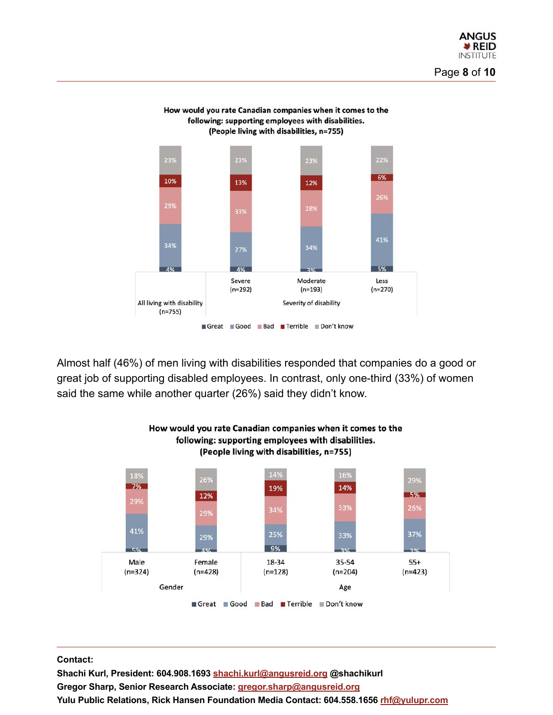

How would you rate Canadian companies when it comes to the following: supporting employees with disabilities. (People living with disabilities, n=755)

Almost half (46%) of men living with disabilities responded that companies do a good or great job of supporting disabled employees. In contrast, only one-third (33%) of women said the same while another quarter (26%) said they didn't know.



# How would you rate Canadian companies when it comes to the following: supporting employees with disabilities.

#### **Contact:**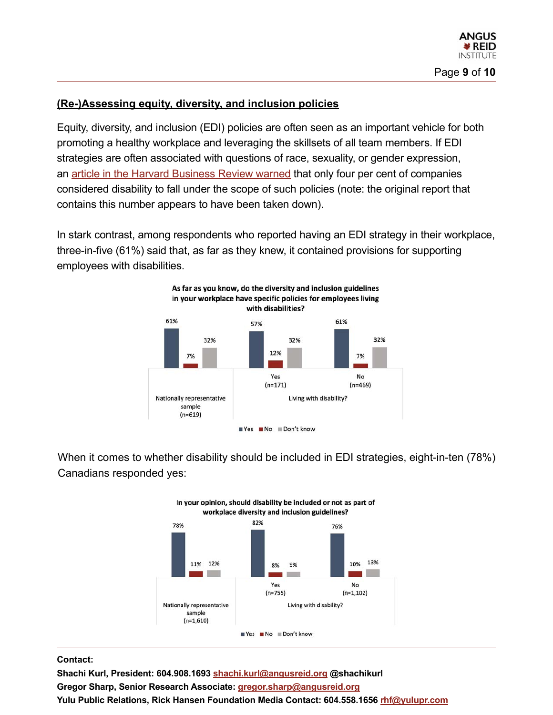# **(Re-)Assessing equity, diversity, and inclusion policies**

Equity, diversity, and inclusion (EDI) policies are often seen as an important vehicle for both promoting a healthy workplace and leveraging the skillsets of all team members. If EDI strategies are often associated with questions of race, sexuality, or gender expression, an [article in the Harvard Business Review warned](https://hbr.org/2020/03/do-your-di-efforts-include-people-with-disabilities) that only four per cent of companies considered disability to fall under the scope of such policies (note: the original report that contains this number appears to have been taken down).

In stark contrast, among respondents who reported having an EDI strategy in their workplace, three-in-five (61%) said that, as far as they knew, it contained provisions for supporting employees with disabilities.



When it comes to whether disability should be included in EDI strategies, eight-in-ten (78%) Canadians responded yes:



#### **Contact:**